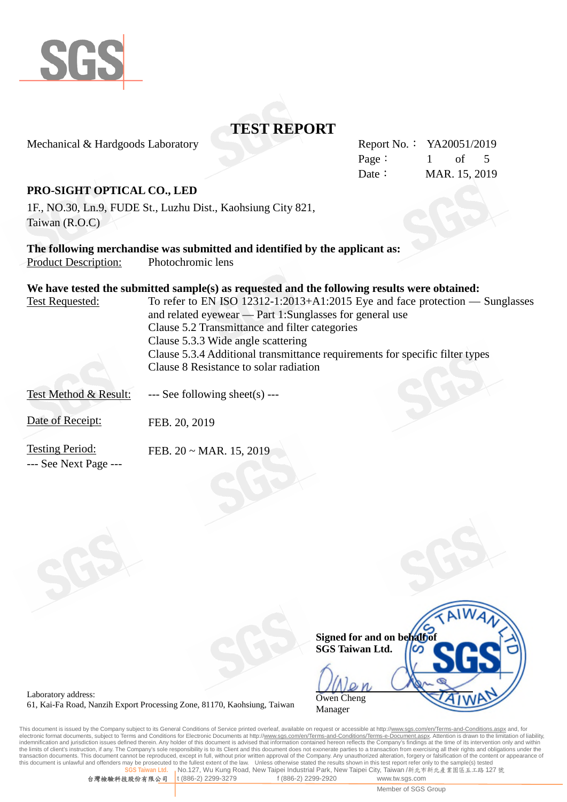

Mechanical & Hardgoods Laboratory

|        | Report No.: YA20051/2019 |  |  |
|--------|--------------------------|--|--|
| Page : | of 5                     |  |  |
| Date:  | MAR. 15, 2019            |  |  |

## **PRO-SIGHT OPTICAL CO., LED**

1F., NO.30, Ln.9, FUDE St., Luzhu Dist., Kaohsiung City 821, Taiwan (R.O.C)

**The following merchandise was submitted and identified by the applicant as:** Product Description: Photochromic lens

|                                                 | We have tested the submitted sample(s) as requested and the following results were obtained: |
|-------------------------------------------------|----------------------------------------------------------------------------------------------|
| <b>Test Requested:</b>                          | To refer to EN ISO 12312-1:2013+A1:2015 Eye and face protection — Sunglasses                 |
|                                                 | and related eyewear — Part 1:Sunglasses for general use                                      |
|                                                 | Clause 5.2 Transmittance and filter categories                                               |
|                                                 | Clause 5.3.3 Wide angle scattering                                                           |
|                                                 | Clause 5.3.4 Additional transmittance requirements for specific filter types                 |
|                                                 | Clause 8 Resistance to solar radiation                                                       |
| Test Method & Result:                           | $\leftarrow$ See following sheet(s) $\leftarrow$                                             |
| Date of Receipt:                                | FEB. 20, 2019                                                                                |
| <b>Testing Period:</b><br>--- See Next Page --- | FEB. $20 \sim \text{MAR}$ . 15, 2019                                                         |

|                             | $N_{\mathbf{A}}$ |
|-----------------------------|------------------|
| Signed for and on behalf of |                  |
| <b>SGS Taiwan Ltd.</b>      |                  |
|                             |                  |
| Owen Cheng                  |                  |
| Manager                     |                  |

Laboratory address: 61, Kai-Fa Road, Nanzih Export Processing Zone, 81170, Kaohsiung, Taiwan

This document is issued by the Company subject to its General Conditions of Service printed overleaf, available on request or accessible at http://<u>www.sgs.com/en/Terms-and-Conditions.aspx</u> and, for<br>electronic format docum indemnification and jurisdiction issues defined therein. Any holder of this document is advised that information contained hereon reflects the Company's findings at the time of its intervention only and within<br>the limits o transaction documents. This document cannot be reproduced, except in full, without prior written approval of the Company. Any unauthorized alteration, forgery or falsification of the content or appearance of<br>this document **In Ltd. No.127, Wu Kung Road, New Taipei Industrial Park, New Taipei City, Taiwan /新北市新北產業園區五工路 127 號<br>【公司 】 t (886-2) 2299-3279 f (886-2) 2299-2920 www.tw.sqs.com** 

台灣檢驗科技股份有限公司

Member of SGS Group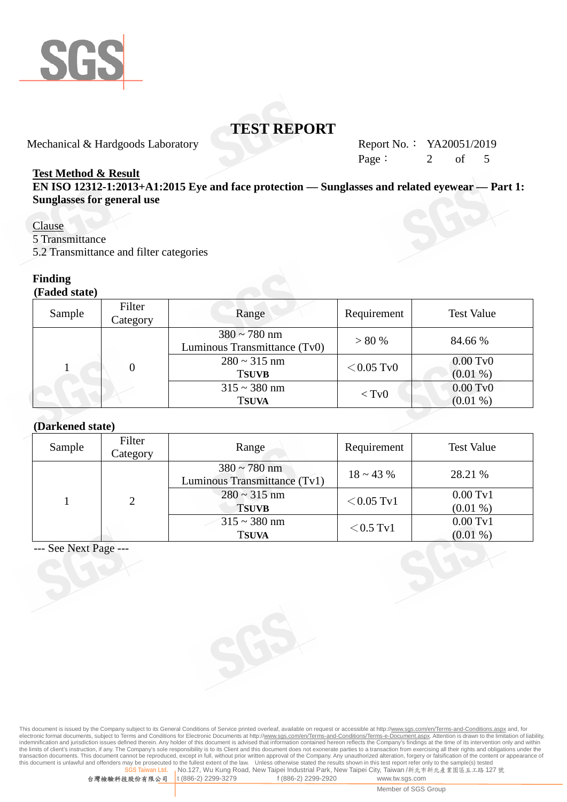

Mechanical & Hardgoods Laboratory Report No.: YA20051/2019

Page:  $2 \text{ of } 5$ 

## **Test Method & Result**

**EN ISO 12312-1:2013+A1:2015 Eye and face protection — Sunglasses and related eyewear — Part 1: Sunglasses for general use**

## Clause

5 Transmittance

5.2 Transmittance and filter categories

## **Finding**

**(Faded state)**

| Sample | Filter<br>Category | Range                                             | Requirement  | <b>Test Value</b>        |
|--------|--------------------|---------------------------------------------------|--------------|--------------------------|
|        |                    | $380 \sim 780$ nm<br>Luminous Transmittance (Tv0) | > 80%        | 84.66 %                  |
|        |                    | $280 \sim 315$ nm<br><b>TSUVB</b>                 | $<$ 0.05 TvO | $0.00$ TvO<br>$(0.01\%)$ |
|        |                    | $315 \sim 380$ nm<br><b>TSUVA</b>                 | $<$ Tv $0$   | $0.00$ TvO<br>$(0.01\%)$ |

#### **(Darkened state)**

| Sample | Filter<br>Category | Range                                             | Requirement     | <b>Test Value</b>                 |
|--------|--------------------|---------------------------------------------------|-----------------|-----------------------------------|
|        | 2                  | $380 \sim 780$ nm<br>Luminous Transmittance (Tv1) | $18 \sim 43 \%$ | 28.21 %                           |
|        |                    | $280 \sim 315$ nm<br><b>TSUVB</b>                 | $<$ 0.05 Tv1    | $0.00 \mathrm{Tv}1$<br>$(0.01\%)$ |
|        |                    | $315 \sim 380$ nm<br><b>TSUVA</b>                 | $<$ 0.5 Tv1     | $0.00$ Tv1<br>$(0.01\%)$          |

--- See Next Page ---

This document is issued by the Company subject to its General Conditions of Service printed overleaf, available on request or accessible at http://<u>www.sgs.com/en/Terms-and-Conditions.aspx</u> and, for<br>electronic format docum indemnification and jurisdiction issues defined therein. Any holder of this document is advised that information contained hereon reflects the Company's findings at the time of its intervention only and within<br>the limits o transaction documents. This document cannot be reproduced, except in full, without prior written approval of the Company. Any unauthorized alteration, forgery or falsification of the content or appearance of<br>this document **In Ltd. No.127, Wu Kung Road, New Taipei Industrial Park, New Taipei City, Taiwan /新北市新北產業園區五工路 127 號<br>【公司 】 t (886-2) 2299-3279 f (886-2) 2299-2920 www.tw.sqs.com**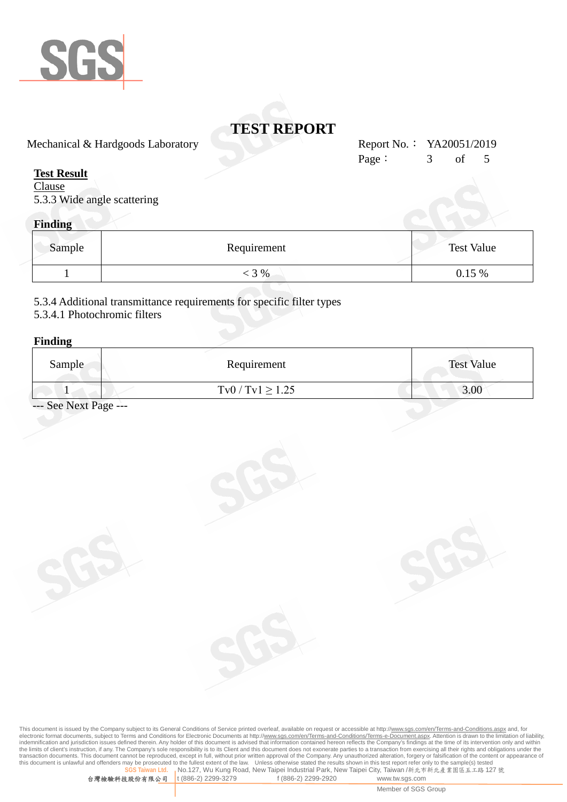

Mechanical & Hardgoods Laboratory Report No.: YA20051/2019

## **Test Result**

**Clause** 5.3.3 Wide angle scattering

# **Finding**

| Sample | Requirement | <b>Test Value</b> |
|--------|-------------|-------------------|
|        | 3 %         | $0.15\%$          |

5.3.4 Additional transmittance requirements for specific filter types

## 5.3.4.1 Photochromic filters

#### **Finding**

| Sample | Requirement          | <b>Test Value</b> |
|--------|----------------------|-------------------|
|        | $Tv0 / Tv1 \ge 1.25$ | 3.00              |

- See Next Page ---

This document is issued by the Company subject to its General Conditions of Service printed overleaf, available on request or accessible at http://<u>www.sgs.com/en/Terms-and-Conditions.aspx</u> and, for<br>electronic format docum indemnification and jurisdiction issues defined therein. Any holder of this document is advised that information contained hereon reflects the Company's findings at the time of its intervention only and within<br>the limits o transaction documents. This document cannot be reproduced, except in full, without prior written approval of the Company. Any unauthorized alteration, forgery or falsification of the content or appearance of<br>this document **No.127, Wu Kung Road, New Taipei Industrial Park, New Taipei City, Taiwan** /新北市新北產業園區五工路 **127 號**<br>t (886-2) 2299-3279 f (886-2) 2299-2920 www.tw.sgs.com

Page: 3 of 5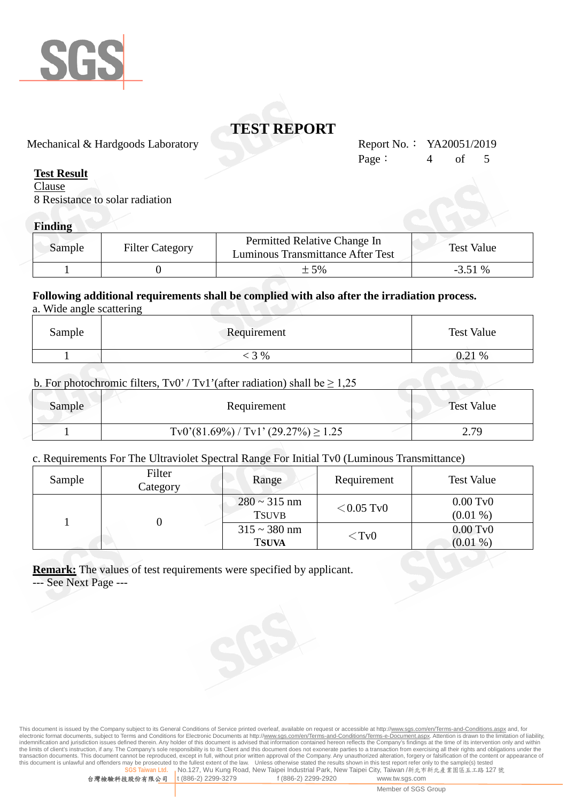

Mechanical & Hardgoods Laboratory Report No.: YA20051/2019

## **Test Result**

**Clause** 8 Resistance to solar radiation

## **Finding**

| Sample | <b>Filter Category</b> | Permitted Relative Change In<br>Luminous Transmittance After Test | <b>Test Value</b> |
|--------|------------------------|-------------------------------------------------------------------|-------------------|
|        |                        | $\pm$ 5%                                                          | $-3.51\%$         |

#### **Following additional requirements shall be complied with also after the irradiation process.** a. Wide angle scattering

| Sample | Requirement |       |
|--------|-------------|-------|
|        | 3 %         | 0.21% |

### b. For photochromic filters,  $Tv0' / Tv1'$  (after radiation) shall be  $\geq 1,25$

| Sample | Requirement                            | <b>Test Value</b> |
|--------|----------------------------------------|-------------------|
|        | $Tv0'(81.69%) / Tv1'(29.27%) \ge 1.25$ | 2 70<br><u></u>   |

### c. Requirements For The Ultraviolet Spectral Range For Initial Tv0 (Luminous Transmittance)

| Sample | Filter<br>Category | Range                             | Requirement  | <b>Test Value</b>                |
|--------|--------------------|-----------------------------------|--------------|----------------------------------|
|        |                    | $280 \sim 315$ nm<br><b>TSUVB</b> | $<$ 0.05 TvO | $0.00 \text{ Tv}0$<br>$(0.01\%)$ |
|        |                    | $315 \sim 380$ nm<br><b>TSUVA</b> | $<$ TvO      | $0.00$ TvO<br>$(0.01\%)$         |

**Remark:** The values of test requirements were specified by applicant.

--- See Next Page ---



Page:  $4$  of 5